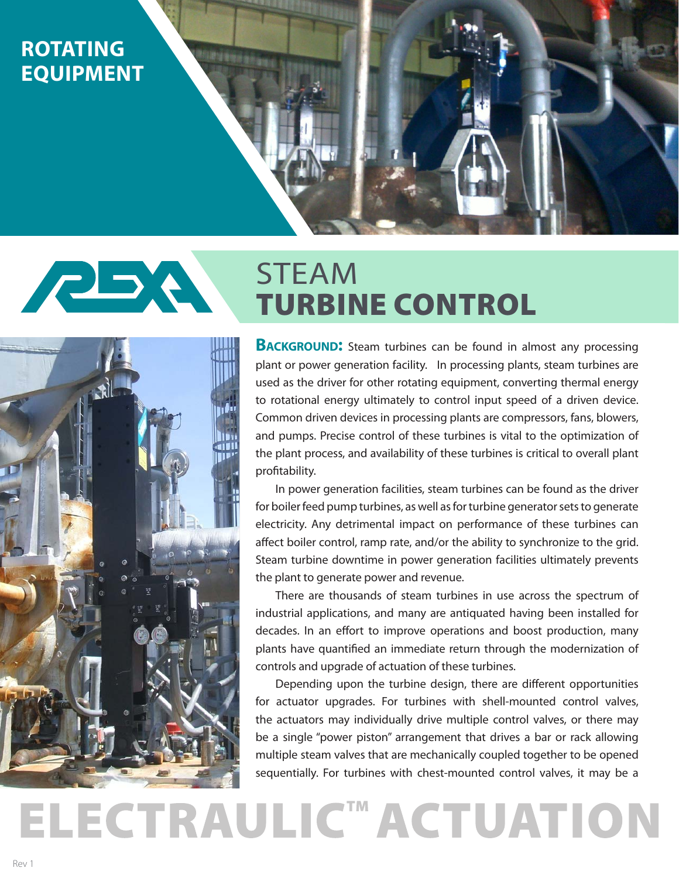## **ROTATING EQUIPMENT**

## **PBA** STEAM TURBINE CONTROL

**ELECTRAULIC<sup>™</sup> ACTUATION** 



**BACKGROUND:** Steam turbines can be found in almost any processing plant or power generation facility. In processing plants, steam turbines are used as the driver for other rotating equipment, converting thermal energy to rotational energy ultimately to control input speed of a driven device. Common driven devices in processing plants are compressors, fans, blowers, and pumps. Precise control of these turbines is vital to the optimization of the plant process, and availability of these turbines is critical to overall plant profitability.

In power generation facilities, steam turbines can be found as the driver for boiler feed pump turbines, as well as for turbine generator sets to generate electricity. Any detrimental impact on performance of these turbines can affect boiler control, ramp rate, and/or the ability to synchronize to the grid. Steam turbine downtime in power generation facilities ultimately prevents the plant to generate power and revenue.

There are thousands of steam turbines in use across the spectrum of industrial applications, and many are antiquated having been installed for decades. In an effort to improve operations and boost production, many plants have quantified an immediate return through the modernization of controls and upgrade of actuation of these turbines.

Depending upon the turbine design, there are different opportunities for actuator upgrades. For turbines with shell-mounted control valves, the actuators may individually drive multiple control valves, or there may be a single "power piston" arrangement that drives a bar or rack allowing multiple steam valves that are mechanically coupled together to be opened sequentially. For turbines with chest-mounted control valves, it may be a

Rev 1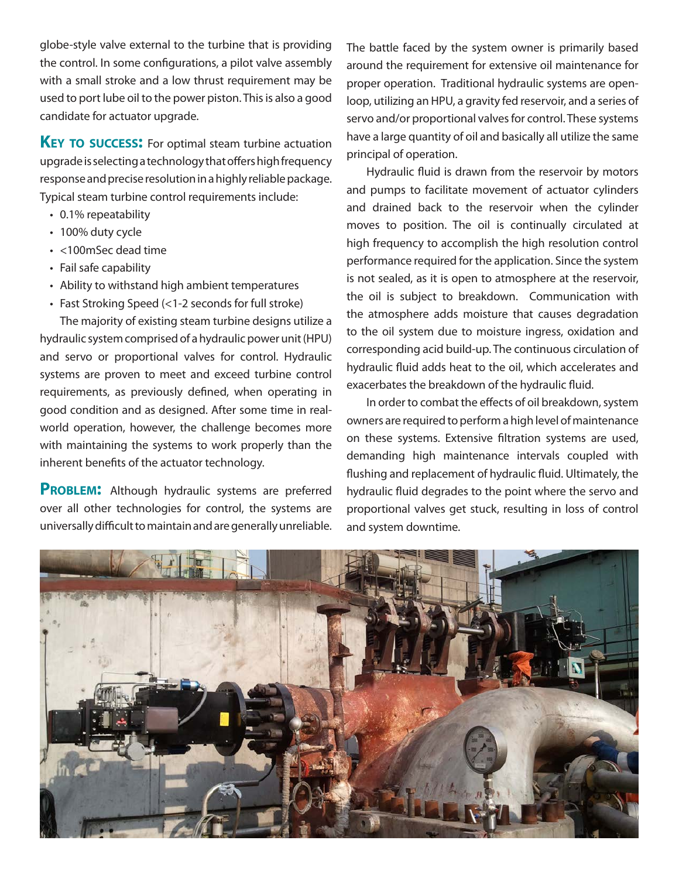globe-style valve external to the turbine that is providing the control. In some configurations, a pilot valve assembly with a small stroke and a low thrust requirement may be used to port lube oil to the power piston. This is also a good candidate for actuator upgrade.

**KEY TO SUCCESS:** For optimal steam turbine actuation upgrade is selecting a technology that offers high frequency response and precise resolution in a highly reliable package. Typical steam turbine control requirements include:

- 0.1% repeatability
- 100% duty cycle
- <100mSec dead time
- Fail safe capability
- Ability to withstand high ambient temperatures
- Fast Stroking Speed (<1-2 seconds for full stroke)

The majority of existing steam turbine designs utilize a hydraulic system comprised of a hydraulic power unit (HPU) and servo or proportional valves for control. Hydraulic systems are proven to meet and exceed turbine control requirements, as previously defined, when operating in good condition and as designed. After some time in realworld operation, however, the challenge becomes more with maintaining the systems to work properly than the inherent benefits of the actuator technology.

**PROBLEM:** Although hydraulic systems are preferred over all other technologies for control, the systems are universally difficult to maintain and are generally unreliable. The battle faced by the system owner is primarily based around the requirement for extensive oil maintenance for proper operation. Traditional hydraulic systems are openloop, utilizing an HPU, a gravity fed reservoir, and a series of servo and/or proportional valves for control. These systems have a large quantity of oil and basically all utilize the same principal of operation.

Hydraulic fluid is drawn from the reservoir by motors and pumps to facilitate movement of actuator cylinders and drained back to the reservoir when the cylinder moves to position. The oil is continually circulated at high frequency to accomplish the high resolution control performance required for the application. Since the system is not sealed, as it is open to atmosphere at the reservoir, the oil is subject to breakdown. Communication with the atmosphere adds moisture that causes degradation to the oil system due to moisture ingress, oxidation and corresponding acid build-up. The continuous circulation of hydraulic fluid adds heat to the oil, which accelerates and exacerbates the breakdown of the hydraulic fluid.

In order to combat the effects of oil breakdown, system owners are required to perform a high level of maintenance on these systems. Extensive filtration systems are used, demanding high maintenance intervals coupled with flushing and replacement of hydraulic fluid. Ultimately, the hydraulic fluid degrades to the point where the servo and proportional valves get stuck, resulting in loss of control and system downtime.

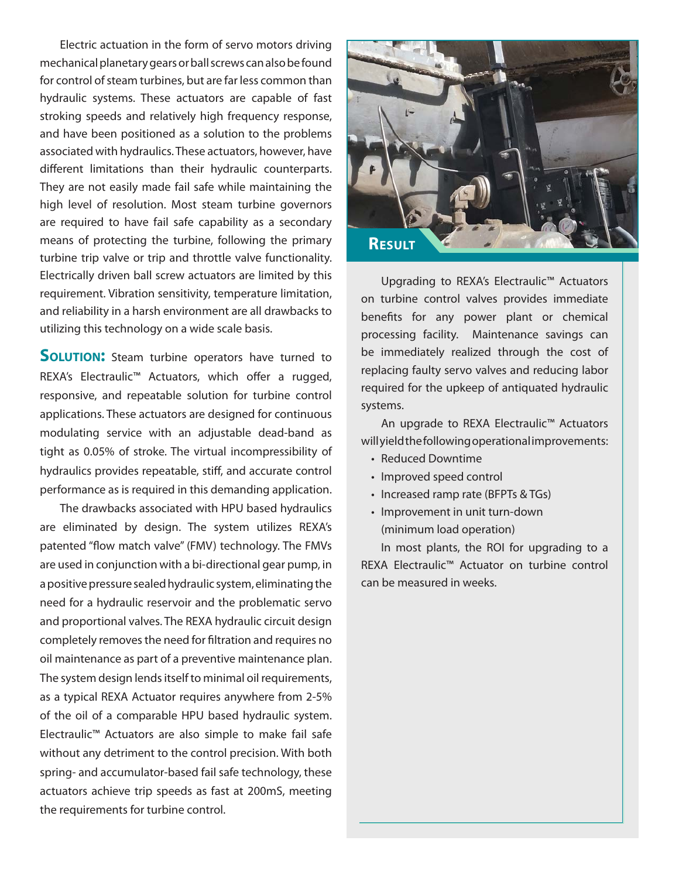Electric actuation in the form of servo motors driving mechanical planetary gears or ball screws can also be found for control of steam turbines, but are far less common than hydraulic systems. These actuators are capable of fast stroking speeds and relatively high frequency response, and have been positioned as a solution to the problems associated with hydraulics. These actuators, however, have different limitations than their hydraulic counterparts. They are not easily made fail safe while maintaining the high level of resolution. Most steam turbine governors are required to have fail safe capability as a secondary means of protecting the turbine, following the primary turbine trip valve or trip and throttle valve functionality. Electrically driven ball screw actuators are limited by this requirement. Vibration sensitivity, temperature limitation, and reliability in a harsh environment are all drawbacks to utilizing this technology on a wide scale basis.

**SOLUTION:** Steam turbine operators have turned to REXA's Electraulic<sup>™</sup> Actuators, which offer a rugged, responsive, and repeatable solution for turbine control applications. These actuators are designed for continuous modulating service with an adjustable dead-band as tight as 0.05% of stroke. The virtual incompressibility of hydraulics provides repeatable, stiff, and accurate control performance as is required in this demanding application.

The drawbacks associated with HPU based hydraulics are eliminated by design. The system utilizes REXA's patented "flow match valve" (FMV) technology. The FMVs are used in conjunction with a bi-directional gear pump, in a positive pressure sealed hydraulic system, eliminating the need for a hydraulic reservoir and the problematic servo and proportional valves. The REXA hydraulic circuit design completely removes the need for filtration and requires no oil maintenance as part of a preventive maintenance plan. The system design lends itself to minimal oil requirements, as a typical REXA Actuator requires anywhere from 2-5% of the oil of a comparable HPU based hydraulic system. Electraulic™ Actuators are also simple to make fail safe without any detriment to the control precision. With both spring- and accumulator-based fail safe technology, these actuators achieve trip speeds as fast at 200mS, meeting the requirements for turbine control.



Upgrading to REXA's Electraulic™ Actuators on turbine control valves provides immediate benefits for any power plant or chemical processing facility. Maintenance savings can be immediately realized through the cost of replacing faulty servo valves and reducing labor required for the upkeep of antiquated hydraulic systems.

An upgrade to REXA Electraulic™ Actuators will yield the following operational improvements:

- Reduced Downtime
- Improved speed control
- Increased ramp rate (BFPTs & TGs)
- Improvement in unit turn-down (minimum load operation)

In most plants, the ROI for upgrading to a REXA Electraulic™ Actuator on turbine control can be measured in weeks.